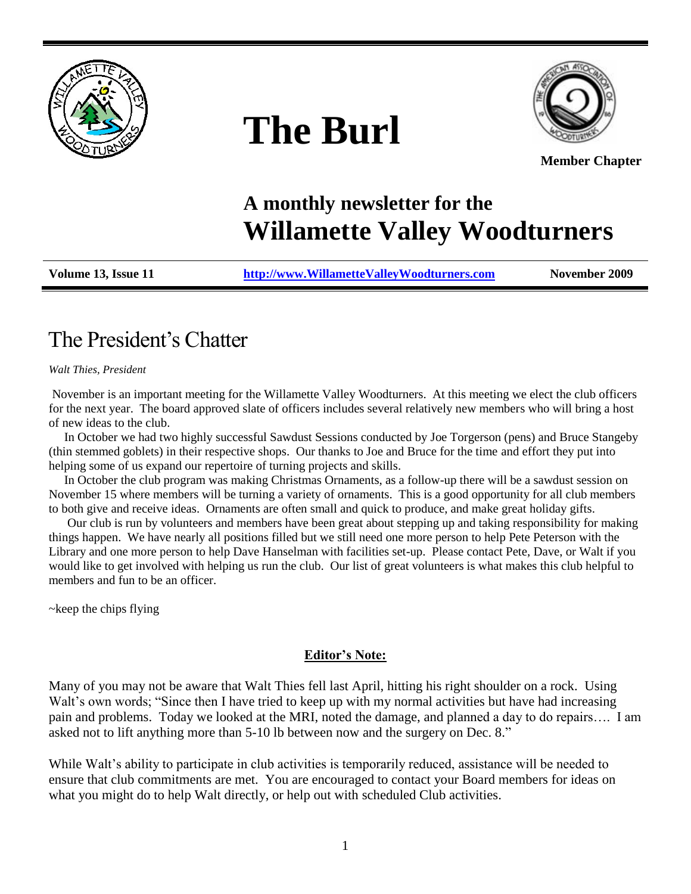

# **The Burl**



**Member Chapter**

# **A monthly newsletter for the Willamette Valley Woodturners**

**Volume 13, Issue 11 [http://www.WillametteValleyWoodturners.com](http://www.willamettevalleywoodturners.com/) November 2009**

# The President"s Chatter

*Walt Thies, President*

November is an important meeting for the Willamette Valley Woodturners. At this meeting we elect the club officers for the next year. The board approved slate of officers includes several relatively new members who will bring a host of new ideas to the club.

 In October we had two highly successful Sawdust Sessions conducted by Joe Torgerson (pens) and Bruce Stangeby (thin stemmed goblets) in their respective shops. Our thanks to Joe and Bruce for the time and effort they put into helping some of us expand our repertoire of turning projects and skills.

 In October the club program was making Christmas Ornaments, as a follow-up there will be a sawdust session on November 15 where members will be turning a variety of ornaments. This is a good opportunity for all club members to both give and receive ideas. Ornaments are often small and quick to produce, and make great holiday gifts.

 Our club is run by volunteers and members have been great about stepping up and taking responsibility for making things happen. We have nearly all positions filled but we still need one more person to help Pete Peterson with the Library and one more person to help Dave Hanselman with facilities set-up. Please contact Pete, Dave, or Walt if you would like to get involved with helping us run the club. Our list of great volunteers is what makes this club helpful to members and fun to be an officer.

~keep the chips flying

#### **Editor's Note:**

Many of you may not be aware that Walt Thies fell last April, hitting his right shoulder on a rock. Using Walt's own words; "Since then I have tried to keep up with my normal activities but have had increasing pain and problems. Today we looked at the MRI, noted the damage, and planned a day to do repairs…. I am asked not to lift anything more than 5-10 lb between now and the surgery on Dec. 8."

While Walt's ability to participate in club activities is temporarily reduced, assistance will be needed to ensure that club commitments are met. You are encouraged to contact your Board members for ideas on what you might do to help Walt directly, or help out with scheduled Club activities.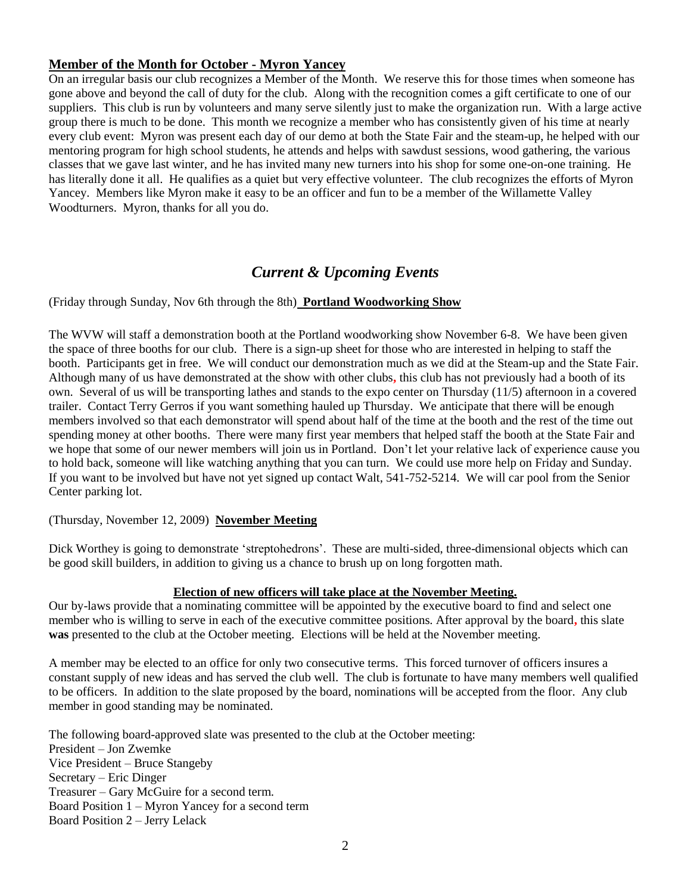#### **Member of the Month for October - Myron Yancey**

On an irregular basis our club recognizes a Member of the Month. We reserve this for those times when someone has gone above and beyond the call of duty for the club. Along with the recognition comes a gift certificate to one of our suppliers. This club is run by volunteers and many serve silently just to make the organization run. With a large active group there is much to be done. This month we recognize a member who has consistently given of his time at nearly every club event: Myron was present each day of our demo at both the State Fair and the steam-up, he helped with our mentoring program for high school students, he attends and helps with sawdust sessions, wood gathering, the various classes that we gave last winter, and he has invited many new turners into his shop for some one-on-one training. He has literally done it all. He qualifies as a quiet but very effective volunteer. The club recognizes the efforts of Myron Yancey.Members like Myron make it easy to be an officer and fun to be a member of the Willamette Valley Woodturners. Myron, thanks for all you do.

### *Current & Upcoming Events*

(Friday through Sunday, Nov 6th through the 8th) **Portland Woodworking Show**

The WVW will staff a demonstration booth at the Portland woodworking show November 6-8. We have been given the space of three booths for our club. There is a sign-up sheet for those who are interested in helping to staff the booth. Participants get in free. We will conduct our demonstration much as we did at the Steam-up and the State Fair. Although many of us have demonstrated at the show with other clubs**,** this club has not previously had a booth of its own. Several of us will be transporting lathes and stands to the expo center on Thursday (11/5) afternoon in a covered trailer. Contact Terry Gerros if you want something hauled up Thursday. We anticipate that there will be enough members involved so that each demonstrator will spend about half of the time at the booth and the rest of the time out spending money at other booths. There were many first year members that helped staff the booth at the State Fair and we hope that some of our newer members will join us in Portland. Don"t let your relative lack of experience cause you to hold back, someone will like watching anything that you can turn. We could use more help on Friday and Sunday. If you want to be involved but have not yet signed up contact Walt, 541-752-5214. We will car pool from the Senior Center parking lot.

(Thursday, November 12, 2009) **November Meeting**

Dick Worthey is going to demonstrate 'streptohedrons'. These are multi-sided, three-dimensional objects which can be good skill builders, in addition to giving us a chance to brush up on long forgotten math.

#### **Election of new officers will take place at the November Meeting.**

Our by-laws provide that a nominating committee will be appointed by the executive board to find and select one member who is willing to serve in each of the executive committee positions. After approval by the board**,** this slate **was** presented to the club at the October meeting. Elections will be held at the November meeting.

A member may be elected to an office for only two consecutive terms. This forced turnover of officers insures a constant supply of new ideas and has served the club well. The club is fortunate to have many members well qualified to be officers. In addition to the slate proposed by the board, nominations will be accepted from the floor. Any club member in good standing may be nominated.

The following board-approved slate was presented to the club at the October meeting: President – Jon Zwemke Vice President – Bruce Stangeby Secretary – Eric Dinger Treasurer – Gary McGuire for a second term. Board Position 1 – Myron Yancey for a second term Board Position 2 – Jerry Lelack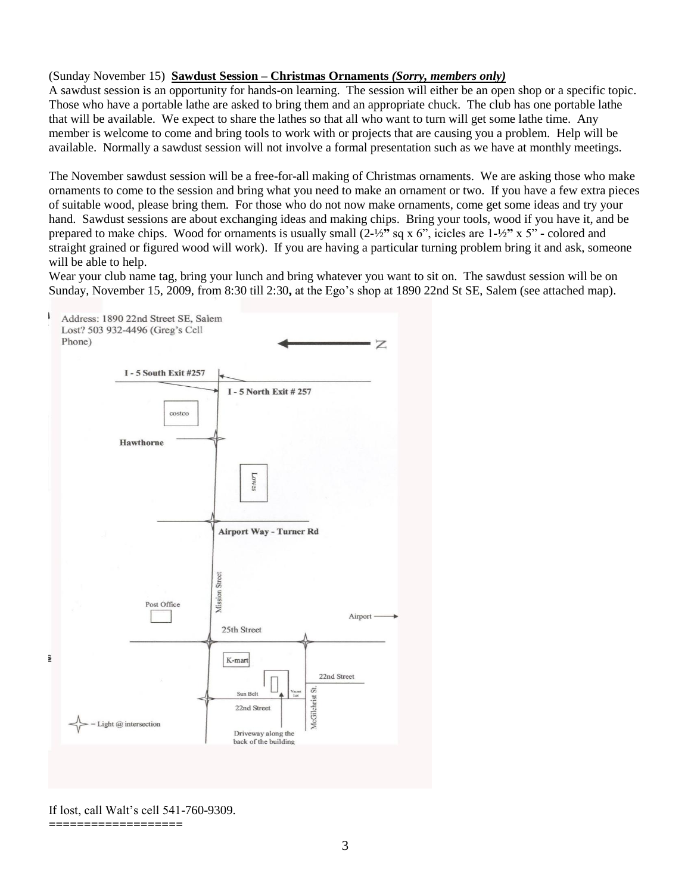#### (Sunday November 15) **Sawdust Session – Christmas Ornaments** *(Sorry, members only)*

A sawdust session is an opportunity for hands-on learning. The session will either be an open shop or a specific topic. Those who have a portable lathe are asked to bring them and an appropriate chuck. The club has one portable lathe that will be available. We expect to share the lathes so that all who want to turn will get some lathe time. Any member is welcome to come and bring tools to work with or projects that are causing you a problem. Help will be available. Normally a sawdust session will not involve a formal presentation such as we have at monthly meetings.

The November sawdust session will be a free-for-all making of Christmas ornaments. We are asking those who make ornaments to come to the session and bring what you need to make an ornament or two. If you have a few extra pieces of suitable wood, please bring them. For those who do not now make ornaments, come get some ideas and try your hand. Sawdust sessions are about exchanging ideas and making chips. Bring your tools, wood if you have it, and be prepared to make chips. Wood for ornaments is usually small (2**-**½**"** sq x 6", icicles are 1**-**½**"** x 5" **-** colored and straight grained or figured wood will work). If you are having a particular turning problem bring it and ask, someone will be able to help.

Wear your club name tag, bring your lunch and bring whatever you want to sit on. The sawdust session will be on Sunday, November 15, 2009, from 8:30 till 2:30**,** at the Ego"s shop at 1890 22nd St SE, Salem (see attached map).



If lost, call Walt"s cell 541-760-9309.

**===================**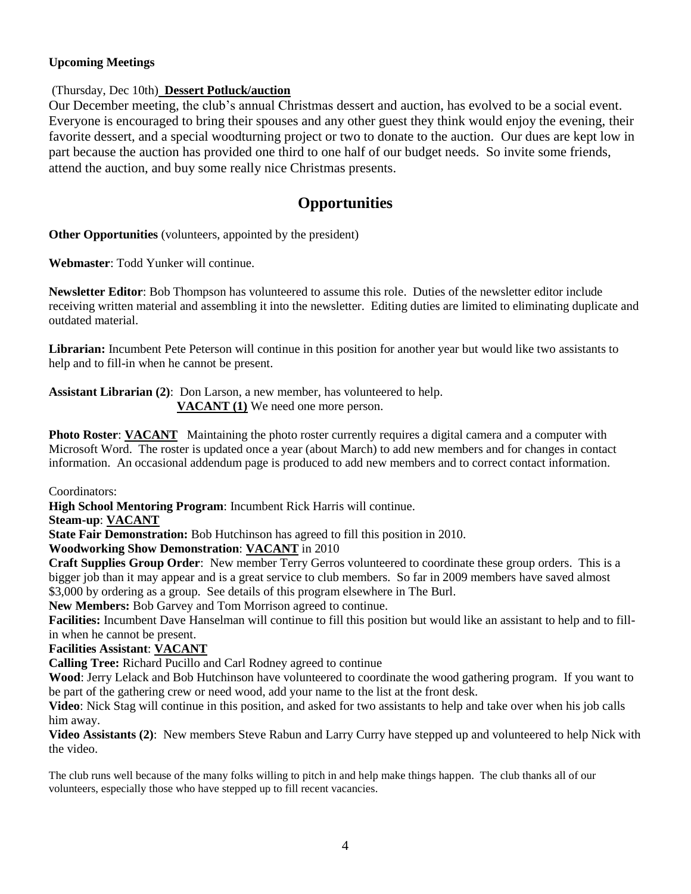#### **Upcoming Meetings**

#### (Thursday, Dec 10th) **Dessert Potluck/auction**

Our December meeting, the club"s annual Christmas dessert and auction, has evolved to be a social event. Everyone is encouraged to bring their spouses and any other guest they think would enjoy the evening, their favorite dessert, and a special woodturning project or two to donate to the auction. Our dues are kept low in part because the auction has provided one third to one half of our budget needs. So invite some friends, attend the auction, and buy some really nice Christmas presents.

### **Opportunities**

**Other Opportunities** (volunteers, appointed by the president)

**Webmaster**: Todd Yunker will continue.

**Newsletter Editor**: Bob Thompson has volunteered to assume this role. Duties of the newsletter editor include receiving written material and assembling it into the newsletter. Editing duties are limited to eliminating duplicate and outdated material.

**Librarian:** Incumbent Pete Peterson will continue in this position for another year but would like two assistants to help and to fill-in when he cannot be present.

**Assistant Librarian (2)**: Don Larson, a new member, has volunteered to help. **VACANT (1)** We need one more person.

**Photo Roster: VACANT** Maintaining the photo roster currently requires a digital camera and a computer with Microsoft Word. The roster is updated once a year (about March) to add new members and for changes in contact information. An occasional addendum page is produced to add new members and to correct contact information.

Coordinators:

**High School Mentoring Program**: Incumbent Rick Harris will continue.

**Steam-up**: **VACANT**

**State Fair Demonstration:** Bob Hutchinson has agreed to fill this position in 2010.

#### **Woodworking Show Demonstration**: **VACANT** in 2010

**Craft Supplies Group Order**: New member Terry Gerros volunteered to coordinate these group orders. This is a bigger job than it may appear and is a great service to club members. So far in 2009 members have saved almost \$3,000 by ordering as a group. See details of this program elsewhere in The Burl.

**New Members:** Bob Garvey and Tom Morrison agreed to continue.

**Facilities:** Incumbent Dave Hanselman will continue to fill this position but would like an assistant to help and to fillin when he cannot be present.

#### **Facilities Assistant**: **VACANT**

**Calling Tree:** Richard Pucillo and Carl Rodney agreed to continue

**Wood**: Jerry Lelack and Bob Hutchinson have volunteered to coordinate the wood gathering program. If you want to be part of the gathering crew or need wood, add your name to the list at the front desk.

**Video**: Nick Stag will continue in this position, and asked for two assistants to help and take over when his job calls him away.

**Video Assistants (2)**: New members Steve Rabun and Larry Curry have stepped up and volunteered to help Nick with the video.

The club runs well because of the many folks willing to pitch in and help make things happen. The club thanks all of our volunteers, especially those who have stepped up to fill recent vacancies.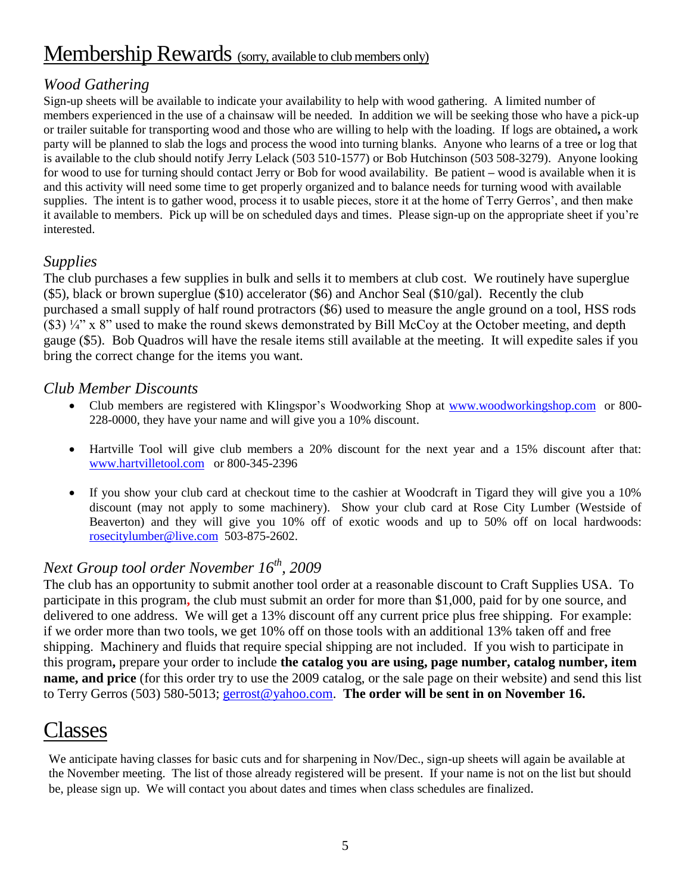# Membership Rewards (sorry, available to club members only)

## *Wood Gathering*

Sign-up sheets will be available to indicate your availability to help with wood gathering. A limited number of members experienced in the use of a chainsaw will be needed. In addition we will be seeking those who have a pick-up or trailer suitable for transporting wood and those who are willing to help with the loading. If logs are obtained**,** a work party will be planned to slab the logs and process the wood into turning blanks. Anyone who learns of a tree or log that is available to the club should notify Jerry Lelack (503 510-1577) or Bob Hutchinson (503 508-3279). Anyone looking for wood to use for turning should contact Jerry or Bob for wood availability. Be patient **–** wood is available when it is and this activity will need some time to get properly organized and to balance needs for turning wood with available supplies. The intent is to gather wood, process it to usable pieces, store it at the home of Terry Gerros', and then make it available to members. Pick up will be on scheduled days and times. Please sign-up on the appropriate sheet if you"re interested.

### *Supplies*

The club purchases a few supplies in bulk and sells it to members at club cost. We routinely have superglue (\$5), black or brown superglue (\$10) accelerator (\$6) and Anchor Seal (\$10/gal). Recently the club purchased a small supply of half round protractors (\$6) used to measure the angle ground on a tool, HSS rods (\$3) ¼" x 8" used to make the round skews demonstrated by Bill McCoy at the October meeting, and depth gauge (\$5). Bob Quadros will have the resale items still available at the meeting. It will expedite sales if you bring the correct change for the items you want.

### *Club Member Discounts*

- Club members are registered with Klingspor's Woodworking Shop at [www.woodworkingshop.com](http://www.woodworkingshop.com/) or 800-228-0000, they have your name and will give you a 10% discount.
- Hartville Tool will give club members a 20% discount for the next year and a 15% discount after that: [www.hartvilletool.com](http://www.hartvilletool.com/) or 800-345-2396
- If you show your club card at checkout time to the cashier at Woodcraft in Tigard they will give you a 10% discount (may not apply to some machinery). Show your club card at Rose City Lumber (Westside of Beaverton) and they will give you 10% off of exotic woods and up to 50% off on local hardwoods: [rosecitylumber@live.com](mailto:rosecitylumber@live.com) 503-875-2602.

# *Next Group tool order November 16th, 2009*

The club has an opportunity to submit another tool order at a reasonable discount to Craft Supplies USA. To participate in this program**,** the club must submit an order for more than \$1,000, paid for by one source, and delivered to one address. We will get a 13% discount off any current price plus free shipping. For example: if we order more than two tools, we get 10% off on those tools with an additional 13% taken off and free shipping. Machinery and fluids that require special shipping are not included. If you wish to participate in this program**,** prepare your order to include **the catalog you are using, page number, catalog number, item name, and price** (for this order try to use the 2009 catalog, or the sale page on their website) and send this list to Terry Gerros (503) 580-5013; [gerrost@yahoo.com.](mailto:gerrost@yahoo.com) **The order will be sent in on November 16.**

# Classes

We anticipate having classes for basic cuts and for sharpening in Nov/Dec., sign-up sheets will again be available at the November meeting. The list of those already registered will be present. If your name is not on the list but should be, please sign up. We will contact you about dates and times when class schedules are finalized.